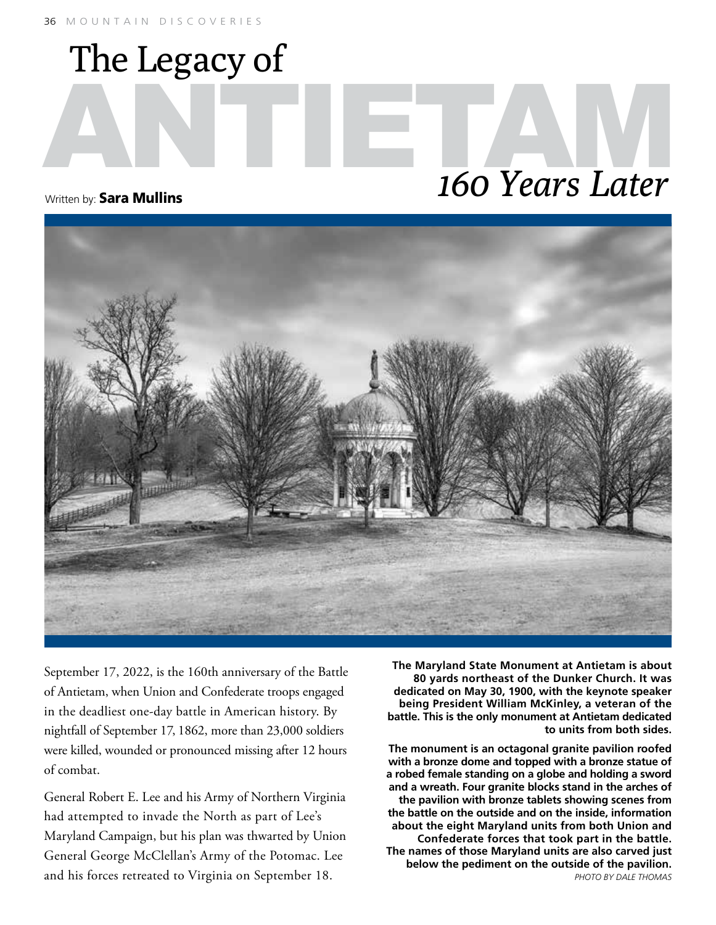The Legacy of

## ANTIETAMENTE DE 160 Years Later *160 Years Later*

Written by: **Sara Mullins** 



September 17, 2022, is the 160th anniversary of the Battle of Antietam, when Union and Confederate troops engaged in the deadliest one-day battle in American history. By nightfall of September 17, 1862, more than 23,000 soldiers were killed, wounded or pronounced missing after 12 hours of combat.

General Robert E. Lee and his Army of Northern Virginia had attempted to invade the North as part of Lee's Maryland Campaign, but his plan was thwarted by Union General George McClellan's Army of the Potomac. Lee and his forces retreated to Virginia on September 18.

**The Maryland State Monument at Antietam is about 80 yards northeast of the Dunker Church. It was dedicated on May 30, 1900, with the keynote speaker being President William McKinley, a veteran of the battle. This is the only monument at Antietam dedicated to units from both sides.**

**The monument is an octagonal granite pavilion roofed with a bronze dome and topped with a bronze statue of a robed female standing on a globe and holding a sword and a wreath. Four granite blocks stand in the arches of the pavilion with bronze tablets showing scenes from the battle on the outside and on the inside, information about the eight Maryland units from both Union and Confederate forces that took part in the battle. The names of those Maryland units are also carved just below the pediment on the outside of the pavilion.** *PHOTO BY DALE THOMAS*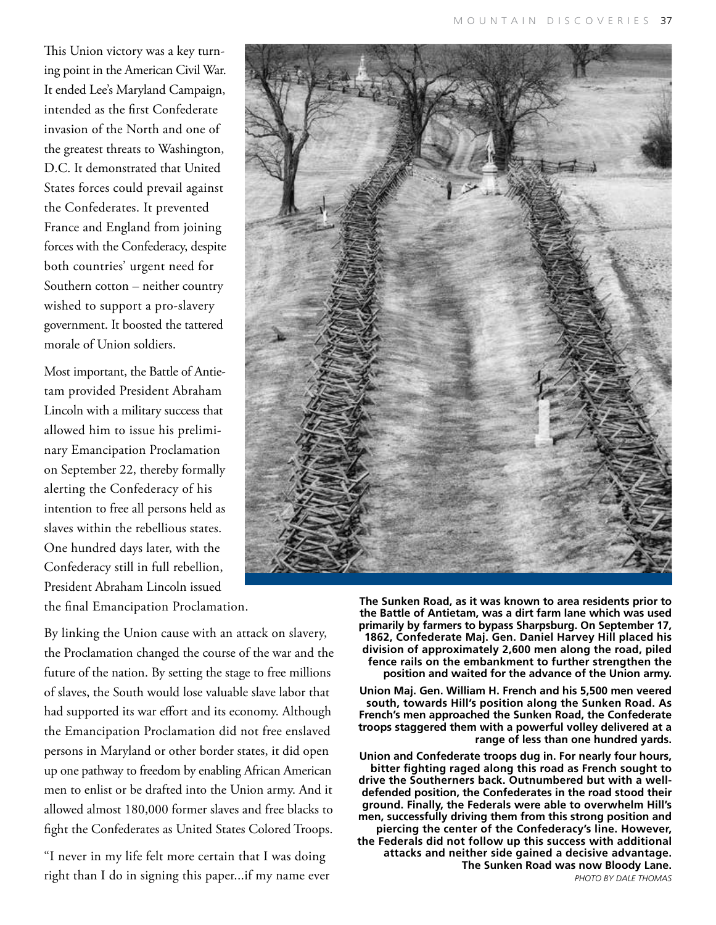This Union victory was a key turning point in the American Civil War. It ended Lee's Maryland Campaign, intended as the first Confederate invasion of the North and one of the greatest threats to Washington, D.C. It demonstrated that United States forces could prevail against the Confederates. It prevented France and England from joining forces with the Confederacy, despite both countries' urgent need for Southern cotton – neither country wished to support a pro-slavery government. It boosted the tattered morale of Union soldiers.

Most important, the Battle of Antietam provided President Abraham Lincoln with a military success that allowed him to issue his preliminary Emancipation Proclamation on September 22, thereby formally alerting the Confederacy of his intention to free all persons held as slaves within the rebellious states. One hundred days later, with the Confederacy still in full rebellion, President Abraham Lincoln issued the final Emancipation Proclamation.

By linking the Union cause with an attack on slavery, the Proclamation changed the course of the war and the future of the nation. By setting the stage to free millions of slaves, the South would lose valuable slave labor that had supported its war effort and its economy. Although the Emancipation Proclamation did not free enslaved persons in Maryland or other border states, it did open up one pathway to freedom by enabling African American men to enlist or be drafted into the Union army. And it allowed almost 180,000 former slaves and free blacks to fight the Confederates as United States Colored Troops.

"I never in my life felt more certain that I was doing right than I do in signing this paper...if my name ever



**The Sunken Road, as it was known to area residents prior to the Battle of Antietam, was a dirt farm lane which was used primarily by farmers to bypass Sharpsburg. On September 17, 1862, Confederate Maj. Gen. Daniel Harvey Hill placed his division of approximately 2,600 men along the road, piled fence rails on the embankment to further strengthen the position and waited for the advance of the Union army.** 

**Union Maj. Gen. William H. French and his 5,500 men veered south, towards Hill's position along the Sunken Road. As French's men approached the Sunken Road, the Confederate troops staggered them with a powerful volley delivered at a range of less than one hundred yards.**

**Union and Confederate troops dug in. For nearly four hours, bitter fighting raged along this road as French sought to drive the Southerners back. Outnumbered but with a welldefended position, the Confederates in the road stood their ground. Finally, the Federals were able to overwhelm Hill's men, successfully driving them from this strong position and piercing the center of the Confederacy's line. However, the Federals did not follow up this success with additional attacks and neither side gained a decisive advantage. The Sunken Road was now Bloody Lane.** *PHOTO BY DALE THOMAS*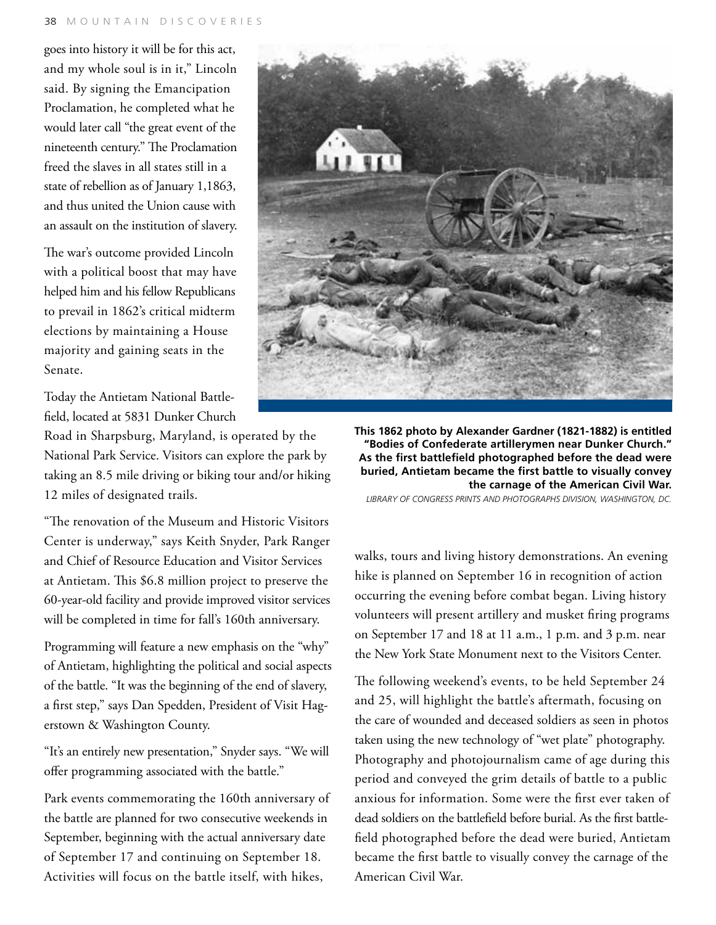goes into history it will be for this act, and my whole soul is in it," Lincoln said. By signing the Emancipation Proclamation, he completed what he would later call "the great event of the nineteenth century." The Proclamation freed the slaves in all states still in a state of rebellion as of January 1,1863, and thus united the Union cause with an assault on the institution of slavery.

The war's outcome provided Lincoln with a political boost that may have helped him and his fellow Republicans to prevail in 1862's critical midterm elections by maintaining a House majority and gaining seats in the Senate.

Today the Antietam National Battlefield, located at 5831 Dunker Church

Road in Sharpsburg, Maryland, is operated by the National Park Service. Visitors can explore the park by taking an 8.5 mile driving or biking tour and/or hiking 12 miles of designated trails.

"The renovation of the Museum and Historic Visitors Center is underway," says Keith Snyder, Park Ranger and Chief of Resource Education and Visitor Services at Antietam. This \$6.8 million project to preserve the 60-year-old facility and provide improved visitor services will be completed in time for fall's 160th anniversary.

Programming will feature a new emphasis on the "why" of Antietam, highlighting the political and social aspects of the battle. "It was the beginning of the end of slavery, a first step," says Dan Spedden, President of Visit Hagerstown & Washington County.

"It's an entirely new presentation," Snyder says. "We will offer programming associated with the battle."

Park events commemorating the 160th anniversary of the battle are planned for two consecutive weekends in September, beginning with the actual anniversary date of September 17 and continuing on September 18. Activities will focus on the battle itself, with hikes,



**This 1862 photo by Alexander Gardner (1821-1882) is entitled "Bodies of Confederate artillerymen near Dunker Church." As the first battlefield photographed before the dead were buried, Antietam became the first battle to visually convey the carnage of the American Civil War.**

*Library of Congress Prints and Photographs Division, Washington, DC.*

walks, tours and living history demonstrations. An evening hike is planned on September 16 in recognition of action occurring the evening before combat began. Living history volunteers will present artillery and musket firing programs on September 17 and 18 at 11 a.m., 1 p.m. and 3 p.m. near the New York State Monument next to the Visitors Center.

The following weekend's events, to be held September 24 and 25, will highlight the battle's aftermath, focusing on the care of wounded and deceased soldiers as seen in photos taken using the new technology of "wet plate" photography. Photography and photojournalism came of age during this period and conveyed the grim details of battle to a public anxious for information. Some were the first ever taken of dead soldiers on the battlefield before burial. As the first battlefield photographed before the dead were buried, Antietam became the first battle to visually convey the carnage of the American Civil War.